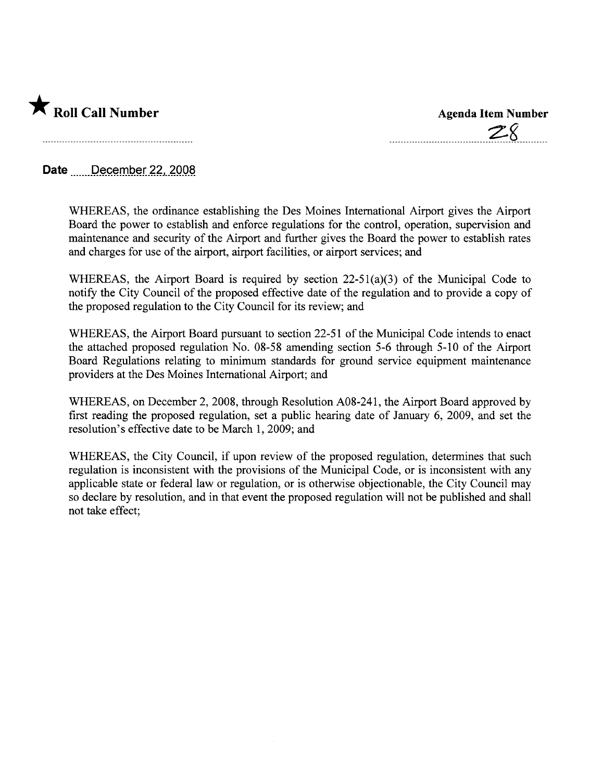

| <b>Agenda Item Number</b> |
|---------------------------|
| $\rightarrow$ $\sigma$    |

Date December 22, 2008

WHEREAS, the ordinance establishing the Des Moines International Airport gives the Airport Board the power to establish and enforce regulations for the control, operation, supervision and maintenance and security of the Airport and further gives the Board the power to establish rates and charges for use of the airport, airport facilities, or airport services; and

WHEREAS, the Airport Board is required by section 22-51(a)(3) of the Municipal Code to notify the City Council of the proposed effective date of the regulation and to provide a copy of the proposed regulation to the City Council for its review; and

WHEREAS, the Airport Board pursuant to section 22-51 of the Municipal Code intends to enact the attached proposed regulation No. 08-58 amending section 5-6 through 5-10 of the Airport Board Regulations relating to minimum standards for ground service equipment maintenance providers at the Des Moines International Airport; and

WHEREAS, on December 2, 2008, through Resolution A08-241, the Airport Board approved by first reading the proposed regulation, set a public hearing date of January  $6, 2009$ , and set the resolution's effective date to be March 1, 2009; and

WHEREAS, the City Council, if upon review of the proposed regulation, determines that such regulation is inconsistent with the provisions of the Municipal Code, or is inconsistent with any applicable state or federal law or regulation, or is otherwise objectionable, the City Council may so declare by resolution, and in that event the proposed regulation will not be published and shall not take effect;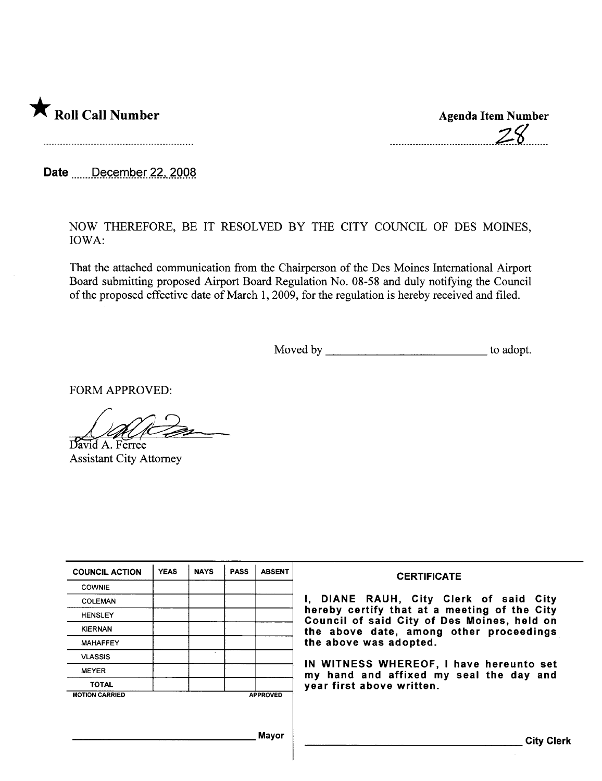

 $28$ 

Date *m....December 22, 2008* 

NOW THEREFORE, BE IT RESOLVED BY THE CITY COUNCIL OF DES MOINES, IOWA:

That the attached communication from the Chairperson of the Des Moines International Airport Board submitting proposed Airport Board Regulation No. 08-58 and duly notifying the Council of the proposed effective date of March 1,2009, for the regulation is hereby received and filed.

Moved by to adopt.

FORM APPROVED:

David A. Ferree Assistant City Attorney

| <b>COUNCIL ACTION</b> | <b>YEAS</b> | <b>NAYS</b> | <b>PASS</b> | <b>ABSENT</b>   | <b>CERTIFICATE</b>                                                                                                                                                                                         |
|-----------------------|-------------|-------------|-------------|-----------------|------------------------------------------------------------------------------------------------------------------------------------------------------------------------------------------------------------|
| <b>COWNIE</b>         |             |             |             |                 |                                                                                                                                                                                                            |
| <b>COLEMAN</b>        |             |             |             |                 | I, DIANE RAUH, City Clerk of said City<br>hereby certify that at a meeting of the City<br>Council of said City of Des Moines, held on<br>the above date, among other proceedings<br>the above was adopted. |
| <b>HENSLEY</b>        |             |             |             |                 |                                                                                                                                                                                                            |
| <b>KIERNAN</b>        |             |             |             |                 |                                                                                                                                                                                                            |
| <b>MAHAFFEY</b>       |             |             |             |                 |                                                                                                                                                                                                            |
| <b>VLASSIS</b>        |             |             |             |                 |                                                                                                                                                                                                            |
| <b>MEYER</b>          |             |             |             |                 | IN WITNESS WHEREOF, I have hereunto set<br>my hand and affixed my seal the day and<br>year first above written.                                                                                            |
| <b>TOTAL</b>          |             |             |             |                 |                                                                                                                                                                                                            |
| <b>MOTION CARRIED</b> |             |             |             | <b>APPROVED</b> |                                                                                                                                                                                                            |
|                       |             |             |             | <b>Mayor</b>    | <b>City Clerk</b>                                                                                                                                                                                          |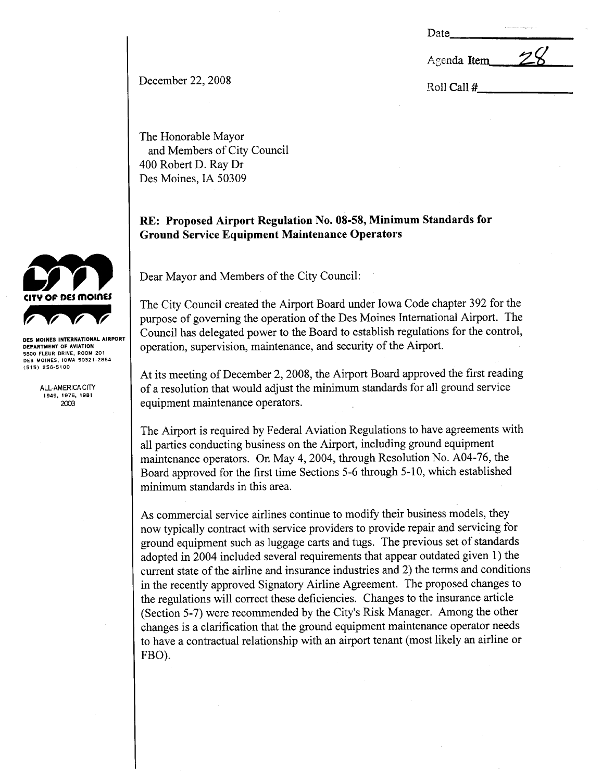| m<br>.,<br>÷ |
|--------------|
|--------------|

Agenda Item

December 22, 2008 Roll Call #

The Honorable Mayor and Members of City Council 400 Robert D. Ray Dr Des Moines, IA 50309

## RE: Proposed Airport Regulation No. 08-58, Minimum Standards for Ground Service Equipment Maintenance Operators

Dear Mayor and Members of the City Council:

The City Council created the Airport Board under Iowa Code chapter 392 for the purose of governing the operation of the Des Moines International Airport. The Council has delegated power to the Board to establish regulations for the control, operation, supervision, maintenance, and security of the Airport.

At its meeting of December 2, 2008, the Airport Board approved the first reading of a resolution that would adjust the minimum standards for all ground service equipment maintenance operators.

The Airport is required by Federal Aviation Regulations to have agreements with all paries conducting business on the Airport, including ground equipment maintenance operators. On May 4, 2004, through Resolution No. A04-76, the Board approved for the first time Sections 5-6 through 5- 10, which established minimum standards in this area.

As commercial service airlines continue to modify their business models, they now typically contract with service providers to provide repair and servicing for ground equipment such as luggage carts and tugs. The previous set of standards adopted in 2004 included several requirements that appear outdated given 1) the curent state of the airline and insurance industries and 2) the terms and conditions in the recently approved Signatory Airline Agreement. The proposed changes to the regulations will correct these deficiencies. Changes to the insurance article (Section 5-7) were recommended by the City's Risk Manager. Among the other changes is a clarification that the ground equipment maintenance operator needs to have a contractual relationship with an airport tenant (most likely an airline or FBO).



DES MOINES INTERNATIONAL AIRPORT DEPARTMENT OF AVIATION 5800 FLEUR DRIVE, ROOM 201 DES MOINES, IOWA 50321-2854 (515) 256-5\00

> **ALL-AMERICA CITY** 1949, 1976, 1981<br>2003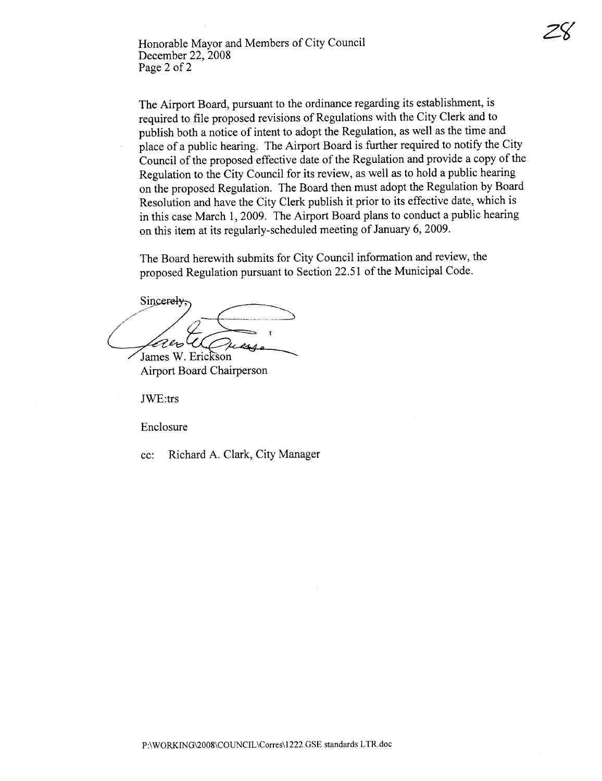Honorable Mayor and Members of City Council December 22, 2008 Page 2 of 2

The Airport Board, pursuant to the ordinance regarding its establishment, is required to file proposed revisions of Regulations with the City Clerk and to publish both a notice of intent to adopt the Regulation, as well as the time and place of a public hearing. The Airport Board is further required to notify the City Council of the proposed effective date of the Regulation and provide a copy of the Regulation to the City Council for its review, as well as to hold a public hearing on the proposed Regulation. The Board then must adopt the Regulation by Board Resolution and have the City Clerk publish it prior to its effective date, which is in this case March 1,2009. The Airport Board plans to conduct a public hearing on this item at its regularly-scheduled meeting of January 6, 2009.

Z<sup>o</sup>

The Board herewith submits for City Council information and review, the proposed Regulation pursuant to Section 22.51 of the Municipal Code.

Sincerely, -- ..\_.~ Pers James W. Erickson

**Airport Board Chairperson** 

JWE:trs

Enclosure

cc: Richard A. Clark, City Manager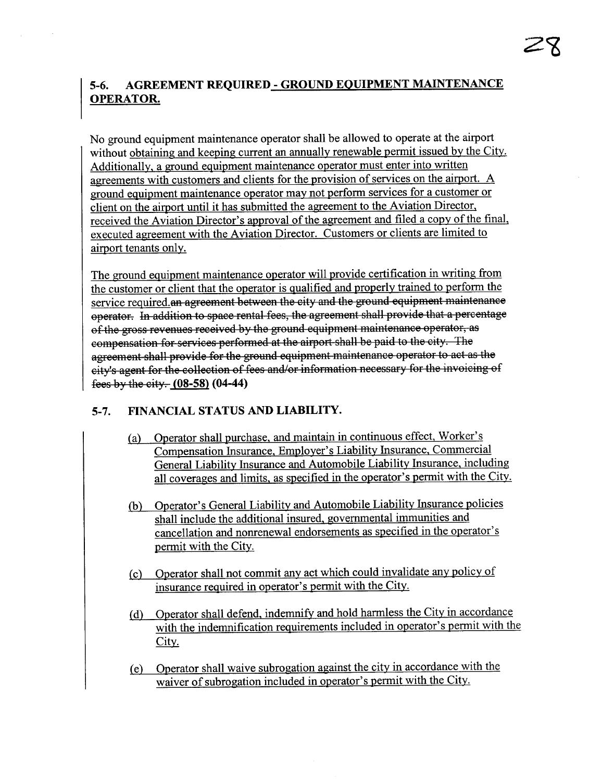# 5-6. AGREEMENT REQUIRED - GROUND EQUIPMENT MAINTENANCE OPERATOR.

No ground equipment maintenance operator shall be allowed to operate at the airport without obtaining and keeping current an annually renewable permit issued by the City. Additionally. a ground equipment maintenance operator must enter into written agreements with customers and clients for the provision of services on the airport. A ground equipment maintenance operator may not perform services for a customer or client on the airport until it has submitted the agreement to the Aviation Director. received the Aviation Director's approval of the agreement and filed a copy of the final, executed agreement with the Aviation Director. Customers or clients are limited to airport tenants only.

The ground equipment maintenance operator will provide certification in writing from the customer or client that the operator is qualified and properly trained to perform the service required. an agreement between the city and the ground equipment maintenance operator. In addition to space rental fees, the agreement shall provide that a percentage of the gross revenues received by the ground equipment maintenance operator, as compensation for servioes performed at the airport shall be paid to the city. The agreement shall provide for the ground equipment maintenance operator to act as the city's agent for the collection of fees and/or information necessary for the invoicing of fees by the city.  $(08-58)$   $(04-44)$ 

## 5-7. FINANCIAL STATUS AND LIABILITY.

- (a) Operator shall purchase. and maintain in continuous effect, Worker's Compensation Insurance. Employer's Liability Insurance. Commercial General Liability Insurance and Automobile Liability Insurance. including all coverages and limits. as specified in the operator's permit with the City.
- (b) Operator's General Liability and Automobile Liability Insurance policies shall include the additional insured, governmental immunities and cancellation and nonrenewal endorsements as specified in the operator's permit with the City.
- (c) Operator shall not commit any act which could invalidate any policy of insurance required in operator's permit with the City.
- (d) Operator shall defend. indemnify and hold harmless the City in accordance with the indemnification requirements included in operator's permit with the City.
- (e) Operator shall waive subrogation against the city in accordance with the waiver of subrogation included in operator's permit with the City.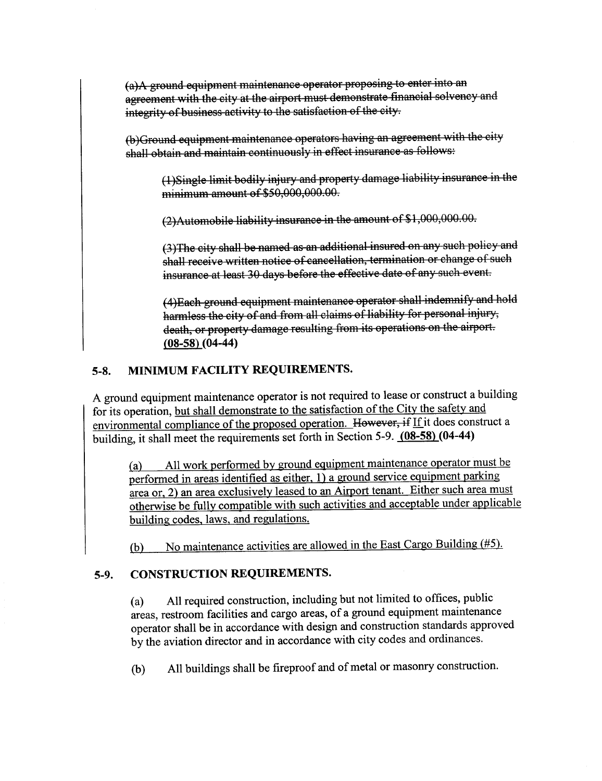(a)A ground equipment maintenance operator proposing to enter into an agreement with the city at the airport must demonstrate financial solvency and integrity of business activity to the satisfaction of the city.

(b)Ground equipment maintæance operators haying an agreement with the city shall obtain and maintain continuously in effect insurance as follows:

(1)8ingle limit bodily injury and propery damage liability insurance in the minimum amount of \$50,000,000.00.

(2) Automobile liability insurance in the amount of \$1,000,000.00.

(3) The city shall be named as an additional insured on any such policy and shall receive written notice of cancellation, termination or change of such insurance at least 30 days before the effective date of any such event.

(4)Each ground equipment maintenance operator shall indemnify and hold harmless the city of and from all claims of liability for personal injury, death, or property damage resulting from its operations on the airport. (08-58) (04-44)

# 5-8. MINIMUM FACILITY REQUIREMENTS.

A ground equipment maintenance operator is not required to lease or construct a building for its operation, but shall demonstrate to the satisfaction of the City the safety and environmental compliance of the proposed operation. However, if If it does construct a building, it shall meet the requirements set forth in Section 5-9. (08-58) (04-44)

(a) All <u>work performed by ground equipment maintenance</u> operator must performed in areas identified as either. 1) a ground service equipment parking area or. 2) an area exclusively leased to an Airport tenant. Either such area must otherwise be fully compatible with such activities and acceptable under applicable building codes. laws. and regulations.

(b) No maintenance activities are allowed in the East Cargo Building (#5).

## 5-9. CONSTRUCTION REQUIREMENTS.

(a) All required construction, including but not limited to officially areas, restroom facilities and cargo areas, of a ground equipment maintenance operator shall be in accordance with design and construction standards approved by the aviation director and in accordance with city codes and ordinances.

(b) All buildings shall be fireproof and of metal or masonry construction.